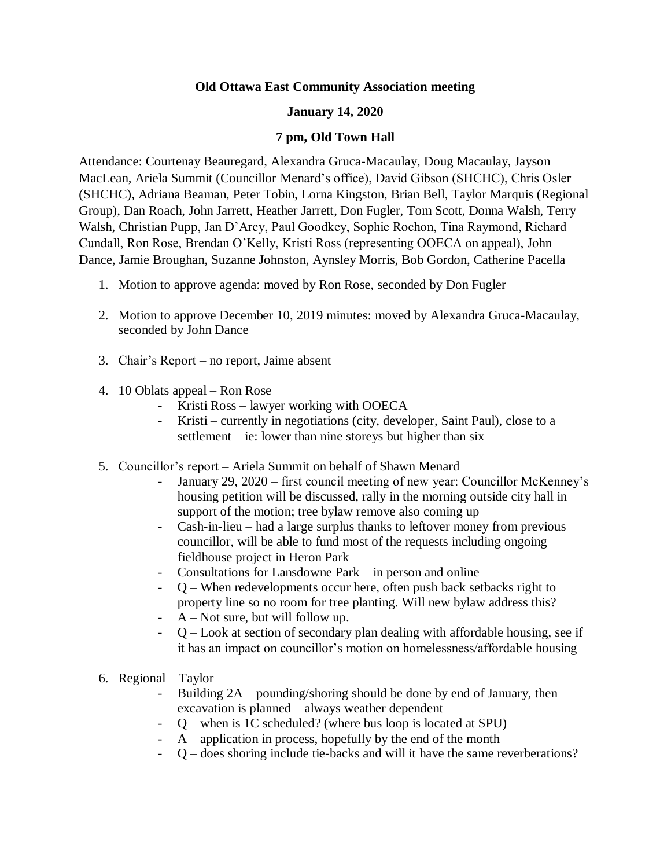#### **Old Ottawa East Community Association meeting**

#### **January 14, 2020**

#### **7 pm, Old Town Hall**

Attendance: Courtenay Beauregard, Alexandra Gruca-Macaulay, Doug Macaulay, Jayson MacLean, Ariela Summit (Councillor Menard's office), David Gibson (SHCHC), Chris Osler (SHCHC), Adriana Beaman, Peter Tobin, Lorna Kingston, Brian Bell, Taylor Marquis (Regional Group), Dan Roach, John Jarrett, Heather Jarrett, Don Fugler, Tom Scott, Donna Walsh, Terry Walsh, Christian Pupp, Jan D'Arcy, Paul Goodkey, Sophie Rochon, Tina Raymond, Richard Cundall, Ron Rose, Brendan O'Kelly, Kristi Ross (representing OOECA on appeal), John Dance, Jamie Broughan, Suzanne Johnston, Aynsley Morris, Bob Gordon, Catherine Pacella

- 1. Motion to approve agenda: moved by Ron Rose, seconded by Don Fugler
- 2. Motion to approve December 10, 2019 minutes: moved by Alexandra Gruca-Macaulay, seconded by John Dance
- 3. Chair's Report no report, Jaime absent
- 4. 10 Oblats appeal Ron Rose
	- Kristi Ross lawyer working with OOECA
	- Kristi currently in negotiations (city, developer, Saint Paul), close to a settlement – ie: lower than nine storeys but higher than six
- 5. Councillor's report Ariela Summit on behalf of Shawn Menard
	- January 29, 2020 first council meeting of new year: Councillor McKenney's housing petition will be discussed, rally in the morning outside city hall in support of the motion; tree bylaw remove also coming up
	- Cash-in-lieu had a large surplus thanks to leftover money from previous councillor, will be able to fund most of the requests including ongoing fieldhouse project in Heron Park
	- Consultations for Lansdowne Park in person and online
	- Q When redevelopments occur here, often push back setbacks right to property line so no room for tree planting. Will new bylaw address this?
	- $A$  Not sure, but will follow up.
	- Q Look at section of secondary plan dealing with affordable housing, see if it has an impact on councillor's motion on homelessness/affordable housing
- 6. Regional Taylor
	- Building  $2A$  pounding/shoring should be done by end of January, then excavation is planned – always weather dependent
	- Q when is 1C scheduled? (where bus loop is located at SPU)
	- $A$  application in process, hopefully by the end of the month
	- Q does shoring include tie-backs and will it have the same reverberations?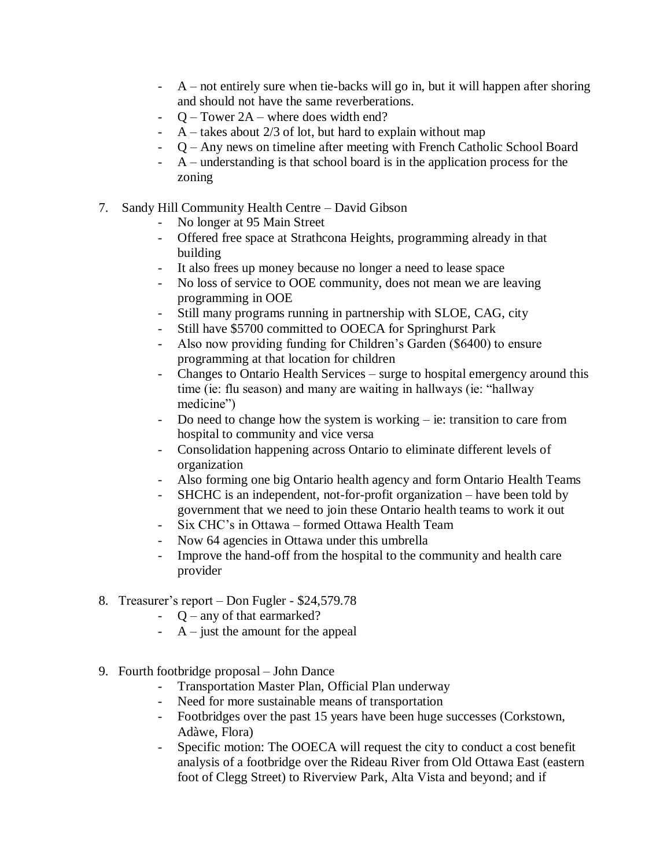- A not entirely sure when tie-backs will go in, but it will happen after shoring and should not have the same reverberations.
- Q Tower 2A where does width end?
- $A$  takes about 2/3 of lot, but hard to explain without map
- Q Any news on timeline after meeting with French Catholic School Board
- A understanding is that school board is in the application process for the zoning
- 7. Sandy Hill Community Health Centre David Gibson
	- No longer at 95 Main Street
	- Offered free space at Strathcona Heights, programming already in that building
	- It also frees up money because no longer a need to lease space
	- No loss of service to OOE community, does not mean we are leaving programming in OOE
	- Still many programs running in partnership with SLOE, CAG, city
	- Still have \$5700 committed to OOECA for Springhurst Park
	- Also now providing funding for Children's Garden (\$6400) to ensure programming at that location for children
	- Changes to Ontario Health Services surge to hospital emergency around this time (ie: flu season) and many are waiting in hallways (ie: "hallway medicine")
	- Do need to change how the system is working ie: transition to care from hospital to community and vice versa
	- Consolidation happening across Ontario to eliminate different levels of organization
	- Also forming one big Ontario health agency and form Ontario Health Teams
	- SHCHC is an independent, not-for-profit organization have been told by government that we need to join these Ontario health teams to work it out
	- Six CHC's in Ottawa formed Ottawa Health Team
	- Now 64 agencies in Ottawa under this umbrella
	- Improve the hand-off from the hospital to the community and health care provider
- 8. Treasurer's report Don Fugler \$24,579.78
	- Q any of that earmarked?
	- $A$  just the amount for the appeal
- 9. Fourth footbridge proposal John Dance
	- Transportation Master Plan, Official Plan underway
	- Need for more sustainable means of transportation
	- Footbridges over the past 15 years have been huge successes (Corkstown, Adàwe, Flora)
	- Specific motion: The OOECA will request the city to conduct a cost benefit analysis of a footbridge over the Rideau River from Old Ottawa East (eastern foot of Clegg Street) to Riverview Park, Alta Vista and beyond; and if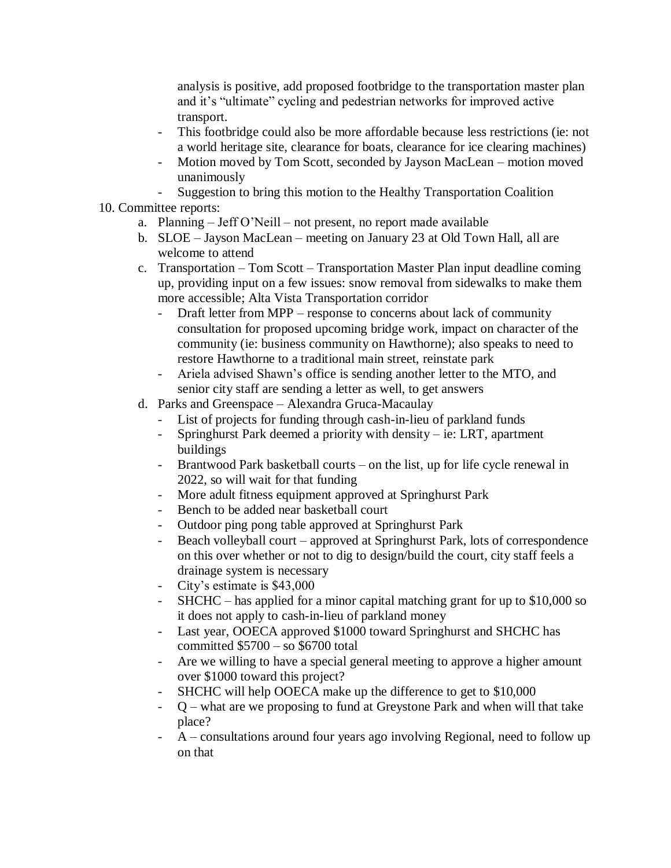analysis is positive, add proposed footbridge to the transportation master plan and it's "ultimate" cycling and pedestrian networks for improved active transport.

- This footbridge could also be more affordable because less restrictions (ie: not a world heritage site, clearance for boats, clearance for ice clearing machines)
- Motion moved by Tom Scott, seconded by Jayson MacLean motion moved unanimously
- Suggestion to bring this motion to the Healthy Transportation Coalition
- 10. Committee reports:
	- a. Planning Jeff O'Neill not present, no report made available
	- b. SLOE Jayson MacLean meeting on January 23 at Old Town Hall, all are welcome to attend
	- c. Transportation Tom Scott Transportation Master Plan input deadline coming up, providing input on a few issues: snow removal from sidewalks to make them more accessible; Alta Vista Transportation corridor
		- Draft letter from MPP response to concerns about lack of community consultation for proposed upcoming bridge work, impact on character of the community (ie: business community on Hawthorne); also speaks to need to restore Hawthorne to a traditional main street, reinstate park
		- Ariela advised Shawn's office is sending another letter to the MTO, and senior city staff are sending a letter as well, to get answers
	- d. Parks and Greenspace Alexandra Gruca-Macaulay
		- List of projects for funding through cash-in-lieu of parkland funds
		- Springhurst Park deemed a priority with density ie: LRT, apartment buildings
		- Brantwood Park basketball courts on the list, up for life cycle renewal in 2022, so will wait for that funding
		- More adult fitness equipment approved at Springhurst Park
		- Bench to be added near basketball court
		- Outdoor ping pong table approved at Springhurst Park
		- Beach volleyball court approved at Springhurst Park, lots of correspondence on this over whether or not to dig to design/build the court, city staff feels a drainage system is necessary
		- City's estimate is \$43,000
		- SHCHC has applied for a minor capital matching grant for up to \$10,000 so it does not apply to cash-in-lieu of parkland money
		- Last year, OOECA approved \$1000 toward Springhurst and SHCHC has committed \$5700 – so \$6700 total
		- Are we willing to have a special general meeting to approve a higher amount over \$1000 toward this project?
		- SHCHC will help OOECA make up the difference to get to \$10,000
		- Q what are we proposing to fund at Greystone Park and when will that take place?
		- A consultations around four years ago involving Regional, need to follow up on that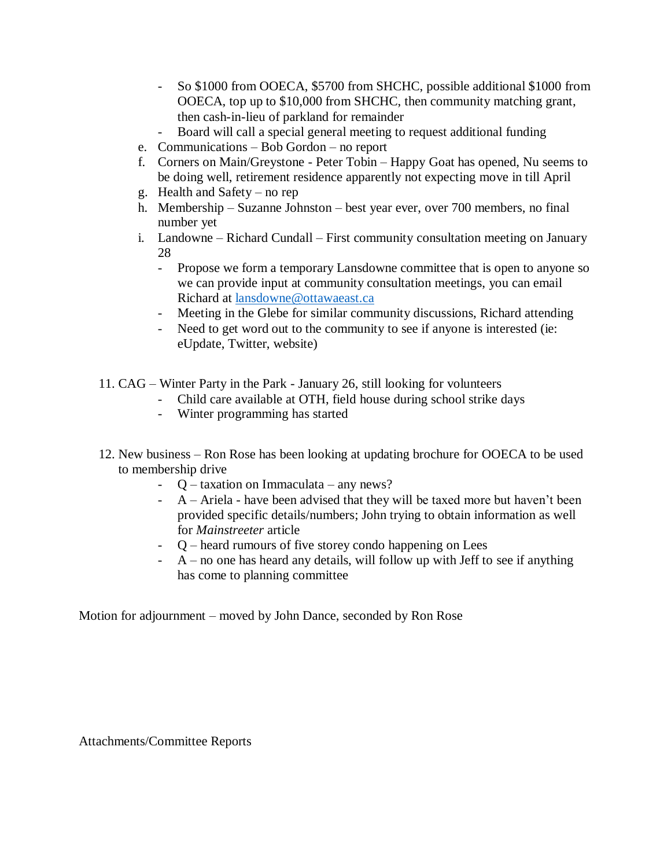- So \$1000 from OOECA, \$5700 from SHCHC, possible additional \$1000 from OOECA, top up to \$10,000 from SHCHC, then community matching grant, then cash-in-lieu of parkland for remainder
- Board will call a special general meeting to request additional funding
- e. Communications Bob Gordon no report
- f. Corners on Main/Greystone Peter Tobin Happy Goat has opened, Nu seems to be doing well, retirement residence apparently not expecting move in till April
- g. Health and Safety no rep
- h. Membership Suzanne Johnston best year ever, over 700 members, no final number yet
- i. Landowne Richard Cundall First community consultation meeting on January 28
	- Propose we form a temporary Lansdowne committee that is open to anyone so we can provide input at community consultation meetings, you can email Richard at [lansdowne@ottawaeast.ca](mailto:lansdowne@ottawaeast.ca)
	- Meeting in the Glebe for similar community discussions, Richard attending
	- Need to get word out to the community to see if anyone is interested (ie: eUpdate, Twitter, website)
- 11. CAG Winter Party in the Park January 26, still looking for volunteers
	- Child care available at OTH, field house during school strike days
	- Winter programming has started
- 12. New business Ron Rose has been looking at updating brochure for OOECA to be used to membership drive
	- Q taxation on Immaculata any news?
	- $A A$ riela have been advised that they will be taxed more but haven't been provided specific details/numbers; John trying to obtain information as well for *Mainstreeter* article
	- Q heard rumours of five storey condo happening on Lees
	- $A$  no one has heard any details, will follow up with Jeff to see if anything has come to planning committee

Motion for adjournment – moved by John Dance, seconded by Ron Rose

Attachments/Committee Reports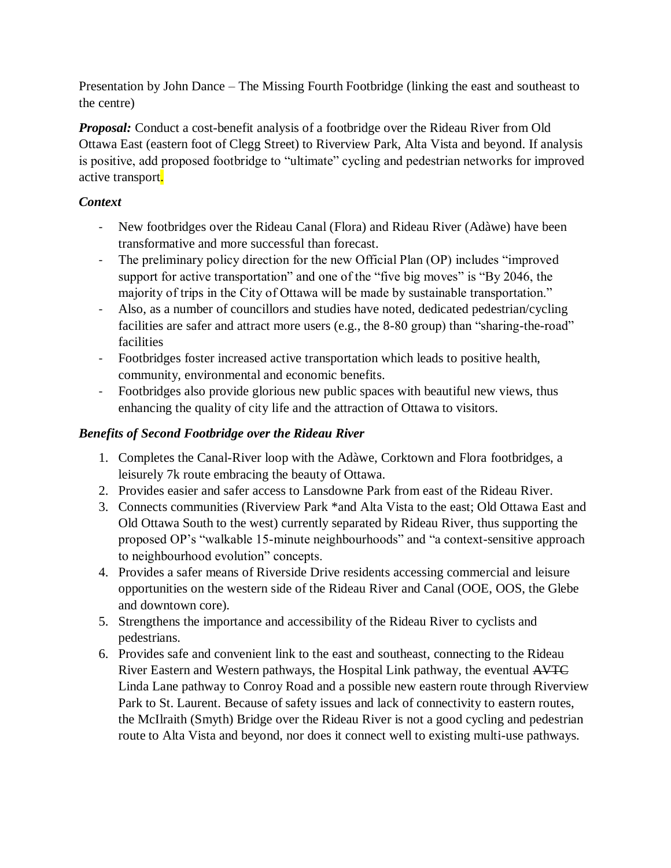Presentation by John Dance – The Missing Fourth Footbridge (linking the east and southeast to the centre)

*Proposal:* Conduct a cost-benefit analysis of a footbridge over the Rideau River from Old Ottawa East (eastern foot of Clegg Street) to Riverview Park, Alta Vista and beyond. If analysis is positive, add proposed footbridge to "ultimate" cycling and pedestrian networks for improved active transport.

# *Context*

- New footbridges over the Rideau Canal (Flora) and Rideau River (Adàwe) have been transformative and more successful than forecast.
- The preliminary policy direction for the new Official Plan (OP) includes "improved support for active transportation" and one of the "five big moves" is "By 2046, the majority of trips in the City of Ottawa will be made by sustainable transportation."
- Also, as a number of councillors and studies have noted, dedicated pedestrian/cycling facilities are safer and attract more users (e.g., the 8-80 group) than "sharing-the-road" facilities
- Footbridges foster increased active transportation which leads to positive health, community, environmental and economic benefits.
- Footbridges also provide glorious new public spaces with beautiful new views, thus enhancing the quality of city life and the attraction of Ottawa to visitors.

# *Benefits of Second Footbridge over the Rideau River*

- 1. Completes the Canal-River loop with the Adàwe, Corktown and Flora footbridges, a leisurely 7k route embracing the beauty of Ottawa.
- 2. Provides easier and safer access to Lansdowne Park from east of the Rideau River.
- 3. Connects communities (Riverview Park \*and Alta Vista to the east; Old Ottawa East and Old Ottawa South to the west) currently separated by Rideau River, thus supporting the proposed OP's "walkable 15-minute neighbourhoods" and "a context-sensitive approach to neighbourhood evolution" concepts.
- 4. Provides a safer means of Riverside Drive residents accessing commercial and leisure opportunities on the western side of the Rideau River and Canal (OOE, OOS, the Glebe and downtown core).
- 5. Strengthens the importance and accessibility of the Rideau River to cyclists and pedestrians.
- 6. Provides safe and convenient link to the east and southeast, connecting to the Rideau River Eastern and Western pathways, the Hospital Link pathway, the eventual AVTC Linda Lane pathway to Conroy Road and a possible new eastern route through Riverview Park to St. Laurent. Because of safety issues and lack of connectivity to eastern routes, the McIlraith (Smyth) Bridge over the Rideau River is not a good cycling and pedestrian route to Alta Vista and beyond, nor does it connect well to existing multi-use pathways.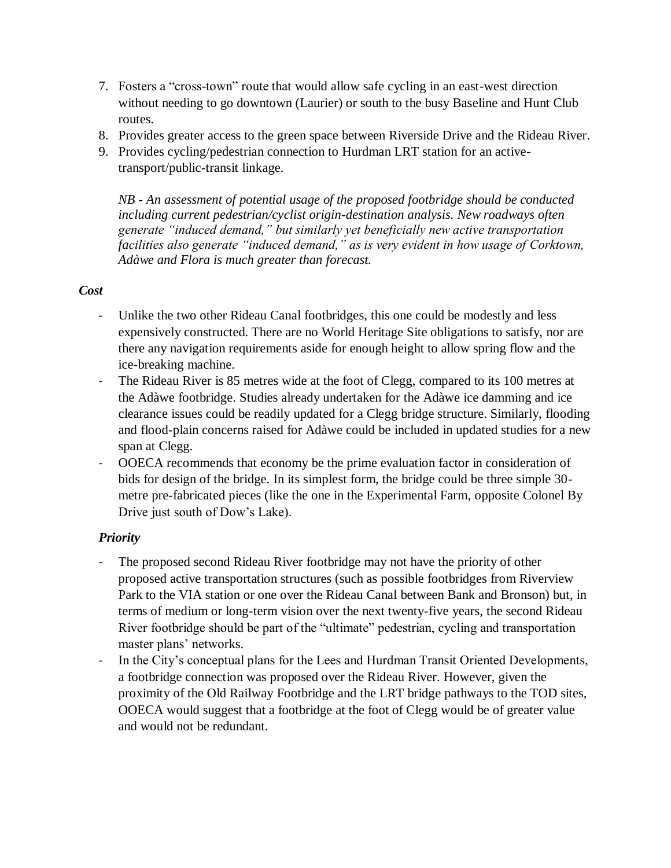- 7. Fosters a "cross-town" route that would allow safe cycling in an east-west direction without needing to go downtown (Laurier) or south to the busy Baseline and Hunt Club routes.
- 8. Provides greater access to the green space between Riverside Drive and the Rideau River.
- 9. Provides cycling/pedestrian connection to Hurdman LRT station for an activetransport/public-transit linkage.

*NB - An assessment of potential usage of the proposed footbridge should be conducted including current pedestrian/cyclist origin-destination analysis. New roadways often generate "induced demand," but similarly yet beneficially new active transportation facilities also generate "induced demand," as is very evident in how usage of Corktown, Adàwe and Flora is much greater than forecast.* 

## *Cost*

- Unlike the two other Rideau Canal footbridges, this one could be modestly and less expensively constructed. There are no World Heritage Site obligations to satisfy, nor are there any navigation requirements aside for enough height to allow spring flow and the ice-breaking machine.
- The Rideau River is 85 metres wide at the foot of Clegg, compared to its 100 metres at the Adàwe footbridge. Studies already undertaken for the Adàwe ice damming and ice clearance issues could be readily updated for a Clegg bridge structure. Similarly, flooding and flood-plain concerns raised for Adàwe could be included in updated studies for a new span at Clegg.
- OOECA recommends that economy be the prime evaluation factor in consideration of bids for design of the bridge. In its simplest form, the bridge could be three simple 30 metre pre-fabricated pieces (like the one in the Experimental Farm, opposite Colonel By Drive just south of Dow's Lake).

# *Priority*

- The proposed second Rideau River footbridge may not have the priority of other proposed active transportation structures (such as possible footbridges from Riverview Park to the VIA station or one over the Rideau Canal between Bank and Bronson) but, in terms of medium or long-term vision over the next twenty-five years, the second Rideau River footbridge should be part of the "ultimate" pedestrian, cycling and transportation master plans' networks.
- In the City's conceptual plans for the Lees and Hurdman Transit Oriented Developments, a footbridge connection was proposed over the Rideau River. However, given the proximity of the Old Railway Footbridge and the LRT bridge pathways to the TOD sites, OOECA would suggest that a footbridge at the foot of Clegg would be of greater value and would not be redundant.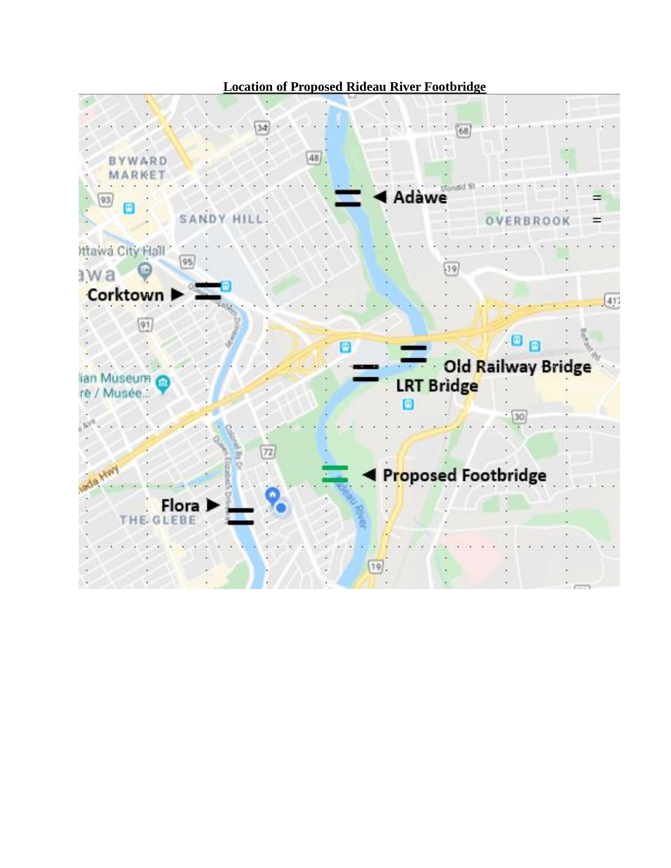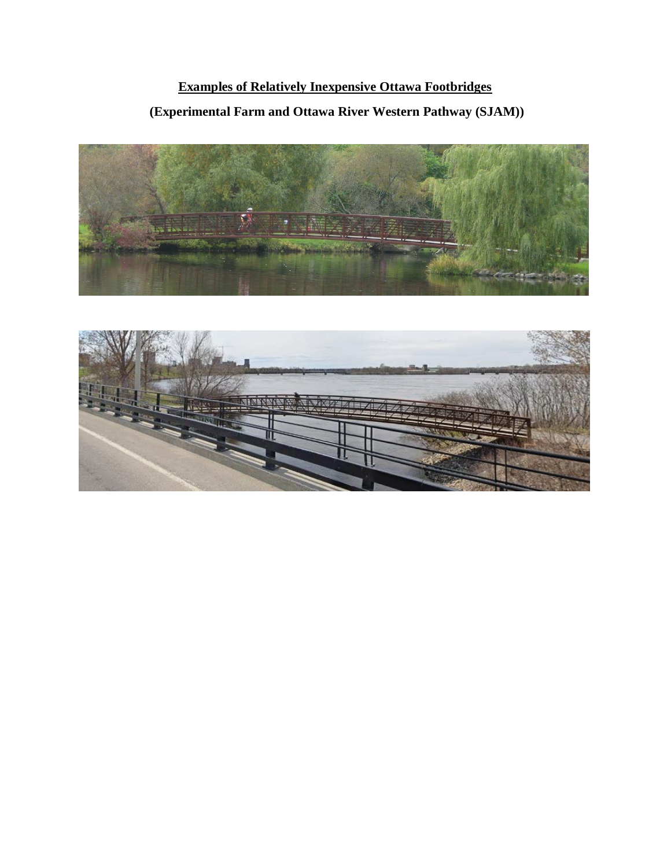# **Examples of Relatively Inexpensive Ottawa Footbridges (Experimental Farm and Ottawa River Western Pathway (SJAM))**



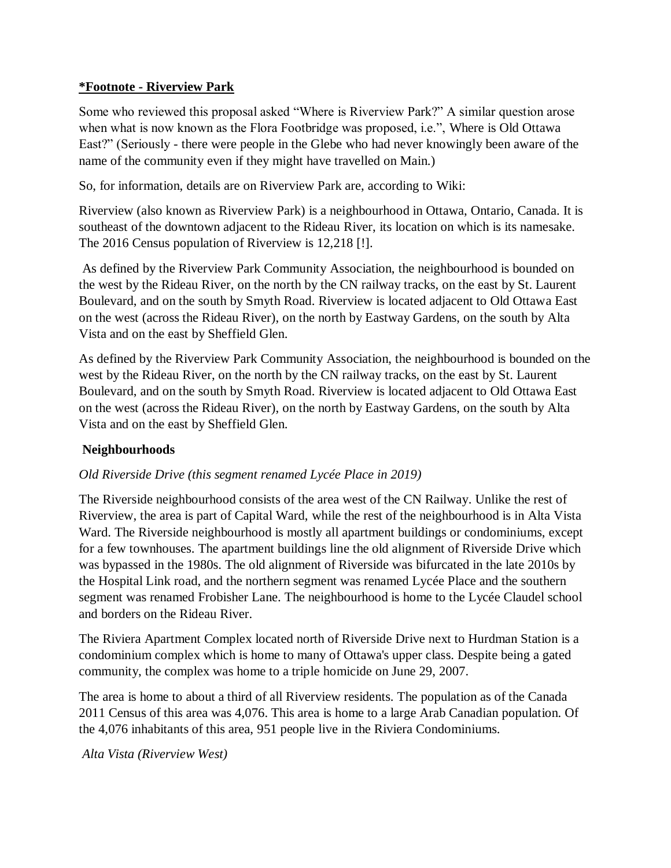#### **\*Footnote - Riverview Park**

Some who reviewed this proposal asked "Where is Riverview Park?" A similar question arose when what is now known as the Flora Footbridge was proposed, i.e.", Where is Old Ottawa East?" (Seriously - there were people in the Glebe who had never knowingly been aware of the name of the community even if they might have travelled on Main.)

So, for information, details are on Riverview Park are, according to Wiki:

Riverview (also known as Riverview Park) is a neighbourhood in Ottawa, Ontario, Canada. It is southeast of the downtown adjacent to the Rideau River, its location on which is its namesake. The 2016 Census population of Riverview is 12,218 [!].

As defined by the Riverview Park Community Association, the neighbourhood is bounded on the west by the Rideau River, on the north by the CN railway tracks, on the east by St. Laurent Boulevard, and on the south by Smyth Road. Riverview is located adjacent to Old Ottawa East on the west (across the Rideau River), on the north by Eastway Gardens, on the south by Alta Vista and on the east by Sheffield Glen.

As defined by the Riverview Park Community Association, the neighbourhood is bounded on the west by the Rideau River, on the north by the CN railway tracks, on the east by St. Laurent Boulevard, and on the south by Smyth Road. Riverview is located adjacent to Old Ottawa East on the west (across the Rideau River), on the north by Eastway Gardens, on the south by Alta Vista and on the east by Sheffield Glen.

#### **Neighbourhoods**

#### *Old Riverside Drive (this segment renamed Lycée Place in 2019)*

The Riverside neighbourhood consists of the area west of the CN Railway. Unlike the rest of Riverview, the area is part of Capital Ward, while the rest of the neighbourhood is in Alta Vista Ward. The Riverside neighbourhood is mostly all apartment buildings or condominiums, except for a few townhouses. The apartment buildings line the old alignment of Riverside Drive which was bypassed in the 1980s. The old alignment of Riverside was bifurcated in the late 2010s by the Hospital Link road, and the northern segment was renamed Lycée Place and the southern segment was renamed Frobisher Lane. The neighbourhood is home to the Lycée Claudel school and borders on the Rideau River.

The Riviera Apartment Complex located north of Riverside Drive next to Hurdman Station is a condominium complex which is home to many of Ottawa's upper class. Despite being a gated community, the complex was home to a triple homicide on June 29, 2007.

The area is home to about a third of all Riverview residents. The population as of the Canada 2011 Census of this area was 4,076. This area is home to a large Arab Canadian population. Of the 4,076 inhabitants of this area, 951 people live in the Riviera Condominiums.

*Alta Vista (Riverview West)*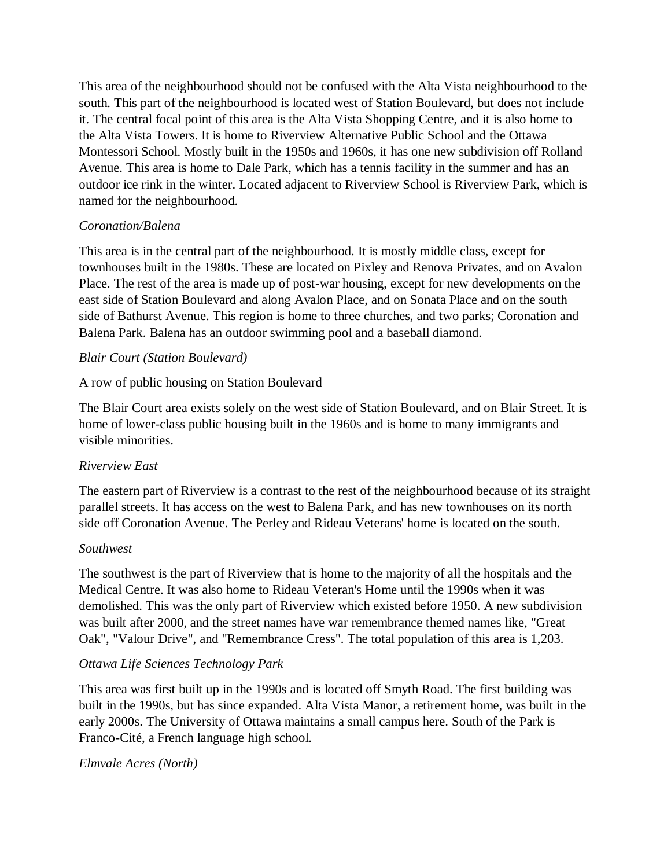This area of the neighbourhood should not be confused with the Alta Vista neighbourhood to the south. This part of the neighbourhood is located west of Station Boulevard, but does not include it. The central focal point of this area is the Alta Vista Shopping Centre, and it is also home to the Alta Vista Towers. It is home to Riverview Alternative Public School and the Ottawa Montessori School. Mostly built in the 1950s and 1960s, it has one new subdivision off Rolland Avenue. This area is home to Dale Park, which has a tennis facility in the summer and has an outdoor ice rink in the winter. Located adjacent to Riverview School is Riverview Park, which is named for the neighbourhood.

## *Coronation/Balena*

This area is in the central part of the neighbourhood. It is mostly middle class, except for townhouses built in the 1980s. These are located on Pixley and Renova Privates, and on Avalon Place. The rest of the area is made up of post-war housing, except for new developments on the east side of Station Boulevard and along Avalon Place, and on Sonata Place and on the south side of Bathurst Avenue. This region is home to three churches, and two parks; Coronation and Balena Park. Balena has an outdoor swimming pool and a baseball diamond.

## *Blair Court (Station Boulevard)*

## A row of public housing on Station Boulevard

The Blair Court area exists solely on the west side of Station Boulevard, and on Blair Street. It is home of lower-class public housing built in the 1960s and is home to many immigrants and visible minorities.

#### *Riverview East*

The eastern part of Riverview is a contrast to the rest of the neighbourhood because of its straight parallel streets. It has access on the west to Balena Park, and has new townhouses on its north side off Coronation Avenue. The Perley and Rideau Veterans' home is located on the south.

#### *Southwest*

The southwest is the part of Riverview that is home to the majority of all the hospitals and the Medical Centre. It was also home to Rideau Veteran's Home until the 1990s when it was demolished. This was the only part of Riverview which existed before 1950. A new subdivision was built after 2000, and the street names have war remembrance themed names like, "Great Oak", "Valour Drive", and "Remembrance Cress". The total population of this area is 1,203.

#### *Ottawa Life Sciences Technology Park*

This area was first built up in the 1990s and is located off Smyth Road. The first building was built in the 1990s, but has since expanded. Alta Vista Manor, a retirement home, was built in the early 2000s. The University of Ottawa maintains a small campus here. South of the Park is Franco-Cité, a French language high school.

#### *Elmvale Acres (North)*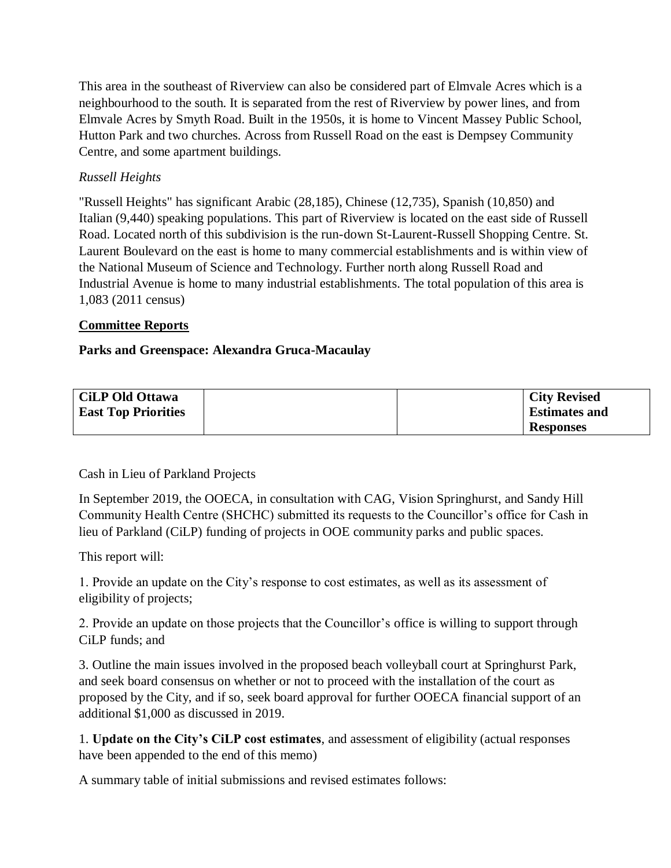This area in the southeast of Riverview can also be considered part of Elmvale Acres which is a neighbourhood to the south. It is separated from the rest of Riverview by power lines, and from Elmvale Acres by Smyth Road. Built in the 1950s, it is home to Vincent Massey Public School, Hutton Park and two churches. Across from Russell Road on the east is Dempsey Community Centre, and some apartment buildings.

## *Russell Heights*

"Russell Heights" has significant Arabic (28,185), Chinese (12,735), Spanish (10,850) and Italian (9,440) speaking populations. This part of Riverview is located on the east side of Russell Road. Located north of this subdivision is the run-down St-Laurent-Russell Shopping Centre. St. Laurent Boulevard on the east is home to many commercial establishments and is within view of the National Museum of Science and Technology. Further north along Russell Road and Industrial Avenue is home to many industrial establishments. The total population of this area is 1,083 (2011 census)

#### **Committee Reports**

#### **Parks and Greenspace: Alexandra Gruca-Macaulay**

| <b>CiLP Old Ottawa</b>     |  | <b>City Revised</b>  |
|----------------------------|--|----------------------|
| <b>East Top Priorities</b> |  | <b>Estimates and</b> |
|                            |  | <b>Responses</b>     |

Cash in Lieu of Parkland Projects

In September 2019, the OOECA, in consultation with CAG, Vision Springhurst, and Sandy Hill Community Health Centre (SHCHC) submitted its requests to the Councillor's office for Cash in lieu of Parkland (CiLP) funding of projects in OOE community parks and public spaces.

This report will:

1. Provide an update on the City's response to cost estimates, as well as its assessment of eligibility of projects;

2. Provide an update on those projects that the Councillor's office is willing to support through CiLP funds; and

3. Outline the main issues involved in the proposed beach volleyball court at Springhurst Park, and seek board consensus on whether or not to proceed with the installation of the court as proposed by the City, and if so, seek board approval for further OOECA financial support of an additional \$1,000 as discussed in 2019.

1. **Update on the City's CiLP cost estimates**, and assessment of eligibility (actual responses have been appended to the end of this memo)

A summary table of initial submissions and revised estimates follows: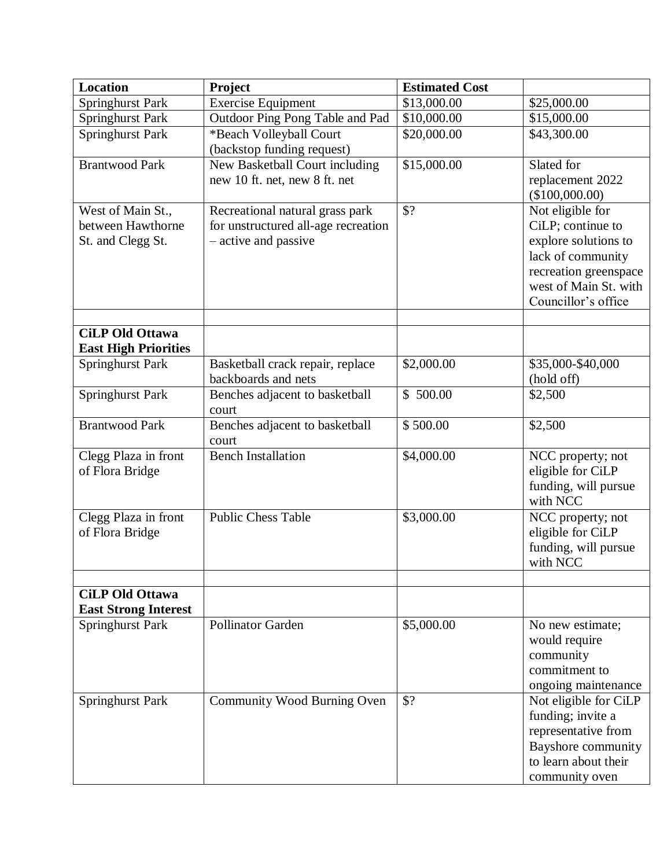| <b>Location</b>             | Project                             | <b>Estimated Cost</b> |                       |
|-----------------------------|-------------------------------------|-----------------------|-----------------------|
| <b>Springhurst Park</b>     | <b>Exercise Equipment</b>           | \$13,000.00           | \$25,000.00           |
| <b>Springhurst Park</b>     | Outdoor Ping Pong Table and Pad     | \$10,000.00           | \$15,000.00           |
| <b>Springhurst Park</b>     | *Beach Volleyball Court             | \$20,000.00           | \$43,300.00           |
|                             | (backstop funding request)          |                       |                       |
| <b>Brantwood Park</b>       | New Basketball Court including      | \$15,000.00           | Slated for            |
|                             | new 10 ft. net, new 8 ft. net       |                       | replacement 2022      |
|                             |                                     |                       | (\$100,000.00)        |
| West of Main St.,           | Recreational natural grass park     | \$?                   | Not eligible for      |
| between Hawthorne           | for unstructured all-age recreation |                       | CiLP; continue to     |
| St. and Clegg St.           | - active and passive                |                       | explore solutions to  |
|                             |                                     |                       | lack of community     |
|                             |                                     |                       | recreation greenspace |
|                             |                                     |                       | west of Main St. with |
|                             |                                     |                       | Councillor's office   |
|                             |                                     |                       |                       |
| <b>CiLP Old Ottawa</b>      |                                     |                       |                       |
| <b>East High Priorities</b> |                                     |                       |                       |
| <b>Springhurst Park</b>     | Basketball crack repair, replace    | \$2,000.00            | \$35,000-\$40,000     |
|                             | backboards and nets                 |                       | (hold off)            |
| <b>Springhurst Park</b>     | Benches adjacent to basketball      | \$500.00              | \$2,500               |
|                             | court                               |                       |                       |
| <b>Brantwood Park</b>       | Benches adjacent to basketball      | \$500.00              | \$2,500               |
|                             | court                               |                       |                       |
| Clegg Plaza in front        | <b>Bench Installation</b>           | \$4,000.00            | NCC property; not     |
| of Flora Bridge             |                                     |                       | eligible for CiLP     |
|                             |                                     |                       | funding, will pursue  |
|                             |                                     |                       | with NCC              |
| Clegg Plaza in front        | <b>Public Chess Table</b>           | \$3,000.00            | NCC property; not     |
| of Flora Bridge             |                                     |                       | eligible for CiLP     |
|                             |                                     |                       | funding, will pursue  |
|                             |                                     |                       | with NCC              |
|                             |                                     |                       |                       |
| <b>CiLP Old Ottawa</b>      |                                     |                       |                       |
| <b>East Strong Interest</b> |                                     |                       |                       |
| <b>Springhurst Park</b>     | <b>Pollinator Garden</b>            | \$5,000.00            | No new estimate;      |
|                             |                                     |                       | would require         |
|                             |                                     |                       | community             |
|                             |                                     |                       | commitment to         |
|                             |                                     |                       | ongoing maintenance   |
| <b>Springhurst Park</b>     | Community Wood Burning Oven         | \$?                   | Not eligible for CiLP |
|                             |                                     |                       | funding; invite a     |
|                             |                                     |                       | representative from   |
|                             |                                     |                       | Bayshore community    |
|                             |                                     |                       | to learn about their  |
|                             |                                     |                       | community oven        |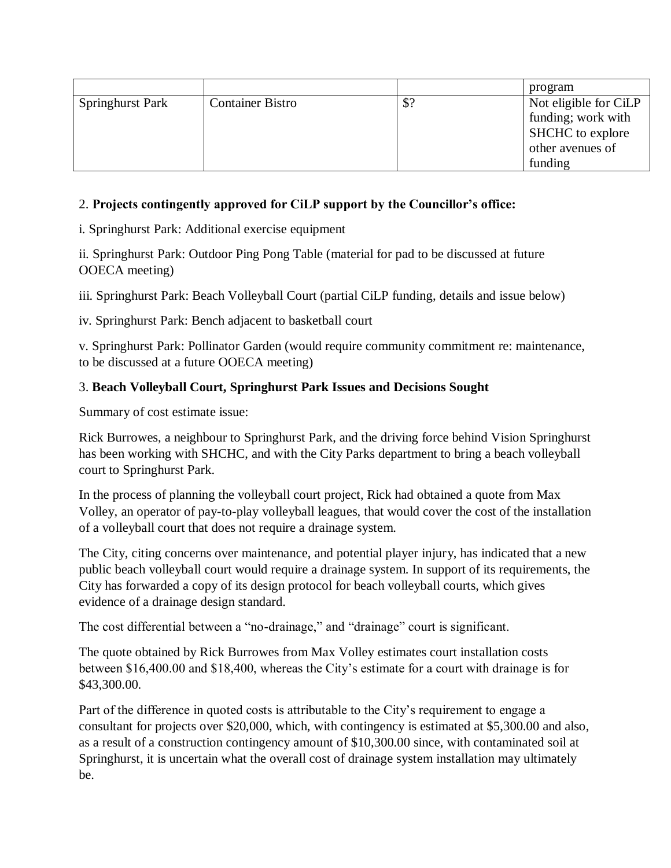|                         |                         |     | program               |
|-------------------------|-------------------------|-----|-----------------------|
| <b>Springhurst Park</b> | <b>Container Bistro</b> | \$? | Not eligible for CiLP |
|                         |                         |     | funding; work with    |
|                         |                         |     | SHCHC to explore      |
|                         |                         |     | other avenues of      |
|                         |                         |     | funding               |

## 2. **Projects contingently approved for CiLP support by the Councillor's office:**

i. Springhurst Park: Additional exercise equipment

ii. Springhurst Park: Outdoor Ping Pong Table (material for pad to be discussed at future OOECA meeting)

iii. Springhurst Park: Beach Volleyball Court (partial CiLP funding, details and issue below)

iv. Springhurst Park: Bench adjacent to basketball court

v. Springhurst Park: Pollinator Garden (would require community commitment re: maintenance, to be discussed at a future OOECA meeting)

## 3. **Beach Volleyball Court, Springhurst Park Issues and Decisions Sought**

Summary of cost estimate issue:

Rick Burrowes, a neighbour to Springhurst Park, and the driving force behind Vision Springhurst has been working with SHCHC, and with the City Parks department to bring a beach volleyball court to Springhurst Park.

In the process of planning the volleyball court project, Rick had obtained a quote from Max Volley, an operator of pay-to-play volleyball leagues, that would cover the cost of the installation of a volleyball court that does not require a drainage system.

The City, citing concerns over maintenance, and potential player injury, has indicated that a new public beach volleyball court would require a drainage system. In support of its requirements, the City has forwarded a copy of its design protocol for beach volleyball courts, which gives evidence of a drainage design standard.

The cost differential between a "no-drainage," and "drainage" court is significant.

The quote obtained by Rick Burrowes from Max Volley estimates court installation costs between \$16,400.00 and \$18,400, whereas the City's estimate for a court with drainage is for \$43,300.00.

Part of the difference in quoted costs is attributable to the City's requirement to engage a consultant for projects over \$20,000, which, with contingency is estimated at \$5,300.00 and also, as a result of a construction contingency amount of \$10,300.00 since, with contaminated soil at Springhurst, it is uncertain what the overall cost of drainage system installation may ultimately be.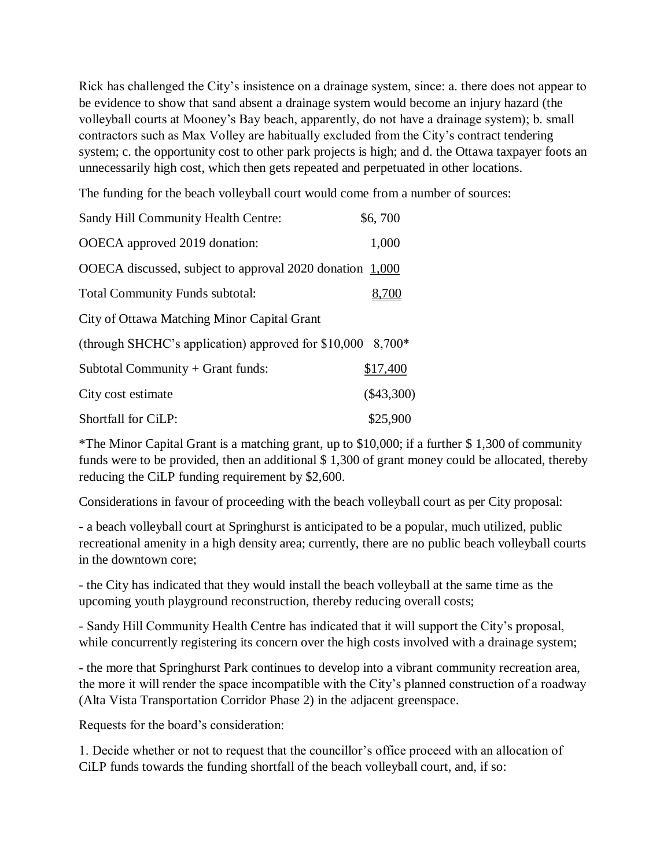Rick has challenged the City's insistence on a drainage system, since: a. there does not appear to be evidence to show that sand absent a drainage system would become an injury hazard (the volleyball courts at Mooney's Bay beach, apparently, do not have a drainage system); b. small contractors such as Max Volley are habitually excluded from the City's contract tendering system; c. the opportunity cost to other park projects is high; and d. the Ottawa taxpayer foots an unnecessarily high cost, which then gets repeated and perpetuated in other locations.

The funding for the beach volleyball court would come from a number of sources:

| Sandy Hill Community Health Centre:                         | \$6,700      |
|-------------------------------------------------------------|--------------|
| OOECA approved 2019 donation:                               | 1,000        |
| OOECA discussed, subject to approval 2020 donation 1,000    |              |
| <b>Total Community Funds subtotal:</b>                      | 8,700        |
| City of Ottawa Matching Minor Capital Grant                 |              |
| (through SHCHC's application) approved for $$10,000$ 8,700* |              |
| Subtotal Community + Grant funds:                           | \$17,400     |
| City cost estimate                                          | $(\$43,300)$ |
| Shortfall for CiLP:                                         | \$25,900     |

\*The Minor Capital Grant is a matching grant, up to \$10,000; if a further \$ 1,300 of community funds were to be provided, then an additional \$ 1,300 of grant money could be allocated, thereby reducing the CiLP funding requirement by \$2,600.

Considerations in favour of proceeding with the beach volleyball court as per City proposal:

- a beach volleyball court at Springhurst is anticipated to be a popular, much utilized, public recreational amenity in a high density area; currently, there are no public beach volleyball courts in the downtown core;

- the City has indicated that they would install the beach volleyball at the same time as the upcoming youth playground reconstruction, thereby reducing overall costs;

- Sandy Hill Community Health Centre has indicated that it will support the City's proposal, while concurrently registering its concern over the high costs involved with a drainage system;

- the more that Springhurst Park continues to develop into a vibrant community recreation area, the more it will render the space incompatible with the City's planned construction of a roadway (Alta Vista Transportation Corridor Phase 2) in the adjacent greenspace.

Requests for the board's consideration:

1. Decide whether or not to request that the councillor's office proceed with an allocation of CiLP funds towards the funding shortfall of the beach volleyball court, and, if so: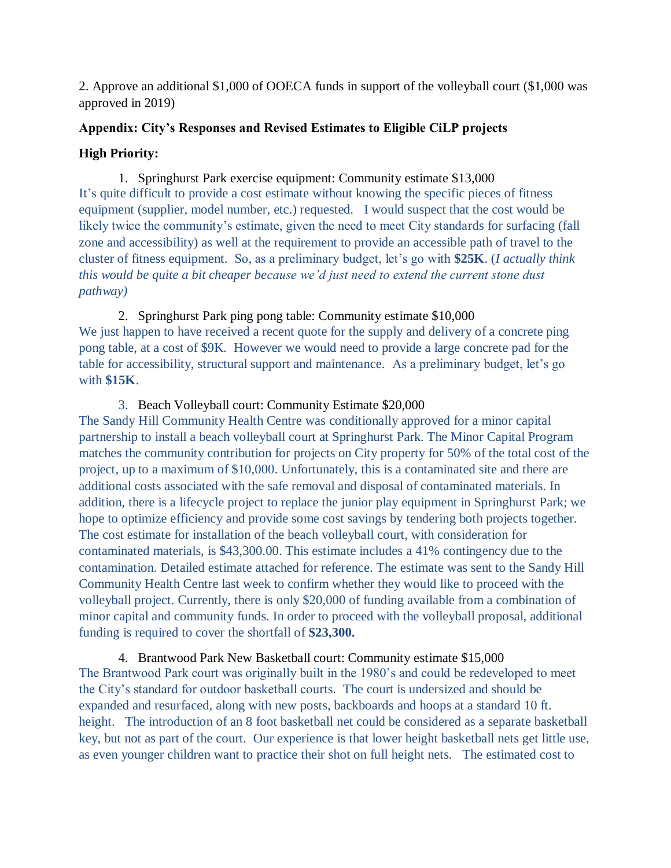2. Approve an additional \$1,000 of OOECA funds in support of the volleyball court (\$1,000 was approved in 2019)

## **Appendix: City's Responses and Revised Estimates to Eligible CiLP projects**

## **High Priority:**

1. Springhurst Park exercise equipment: Community estimate \$13,000 It's quite difficult to provide a cost estimate without knowing the specific pieces of fitness equipment (supplier, model number, etc.) requested. I would suspect that the cost would be likely twice the community's estimate, given the need to meet City standards for surfacing (fall zone and accessibility) as well at the requirement to provide an accessible path of travel to the cluster of fitness equipment. So, as a preliminary budget, let's go with **\$25K**. (*I actually think this would be quite a bit cheaper because we'd just need to extend the current stone dust pathway)*

2. Springhurst Park ping pong table: Community estimate \$10,000 We just happen to have received a recent quote for the supply and delivery of a concrete ping pong table, at a cost of \$9K. However we would need to provide a large concrete pad for the table for accessibility, structural support and maintenance. As a preliminary budget, let's go with **\$15K**.

## 3. Beach Volleyball court: Community Estimate \$20,000

The Sandy Hill Community Health Centre was conditionally approved for a minor capital partnership to install a beach volleyball court at Springhurst Park. The Minor Capital Program matches the community contribution for projects on City property for 50% of the total cost of the project, up to a maximum of \$10,000. Unfortunately, this is a contaminated site and there are additional costs associated with the safe removal and disposal of contaminated materials. In addition, there is a lifecycle project to replace the junior play equipment in Springhurst Park; we hope to optimize efficiency and provide some cost savings by tendering both projects together. The cost estimate for installation of the beach volleyball court, with consideration for contaminated materials, is \$43,300.00. This estimate includes a 41% contingency due to the contamination. Detailed estimate attached for reference. The estimate was sent to the Sandy Hill Community Health Centre last week to confirm whether they would like to proceed with the volleyball project. Currently, there is only \$20,000 of funding available from a combination of minor capital and community funds. In order to proceed with the volleyball proposal, additional funding is required to cover the shortfall of **\$23,300.**

4. Brantwood Park New Basketball court: Community estimate \$15,000 The Brantwood Park court was originally built in the 1980's and could be redeveloped to meet the City's standard for outdoor basketball courts. The court is undersized and should be expanded and resurfaced, along with new posts, backboards and hoops at a standard 10 ft. height. The introduction of an 8 foot basketball net could be considered as a separate basketball key, but not as part of the court. Our experience is that lower height basketball nets get little use, as even younger children want to practice their shot on full height nets. The estimated cost to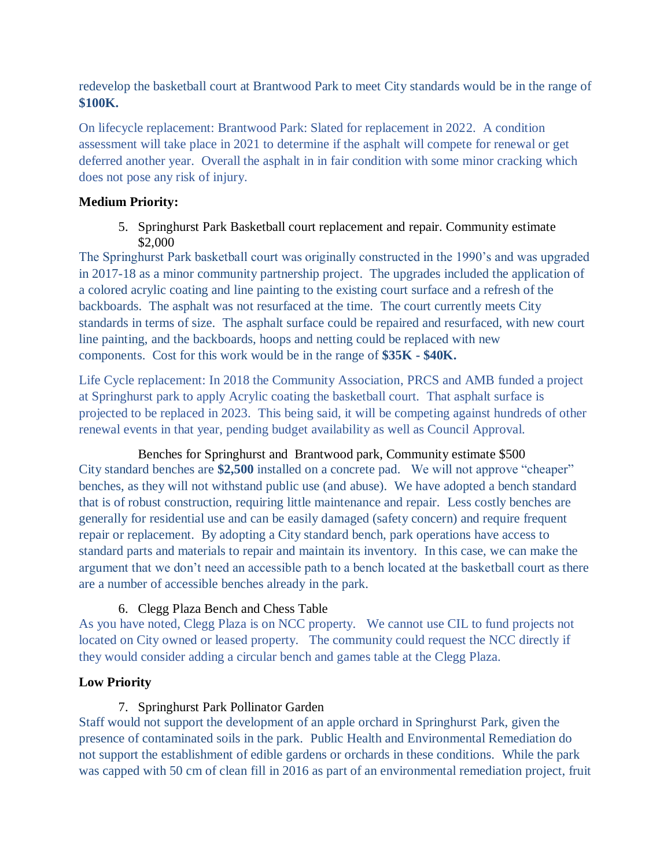redevelop the basketball court at Brantwood Park to meet City standards would be in the range of **\$100K.** 

On lifecycle replacement: Brantwood Park: Slated for replacement in 2022. A condition assessment will take place in 2021 to determine if the asphalt will compete for renewal or get deferred another year. Overall the asphalt in in fair condition with some minor cracking which does not pose any risk of injury.

## **Medium Priority:**

5. Springhurst Park Basketball court replacement and repair. Community estimate \$2,000

The Springhurst Park basketball court was originally constructed in the 1990's and was upgraded in 2017-18 as a minor community partnership project. The upgrades included the application of a colored acrylic coating and line painting to the existing court surface and a refresh of the backboards. The asphalt was not resurfaced at the time. The court currently meets City standards in terms of size. The asphalt surface could be repaired and resurfaced, with new court line painting, and the backboards, hoops and netting could be replaced with new components. Cost for this work would be in the range of **\$35K - \$40K.**

Life Cycle replacement: In 2018 the Community Association, PRCS and AMB funded a project at Springhurst park to apply Acrylic coating the basketball court. That asphalt surface is projected to be replaced in 2023. This being said, it will be competing against hundreds of other renewal events in that year, pending budget availability as well as Council Approval.

# Benches for Springhurst and Brantwood park, Community estimate \$500

City standard benches are **\$2,500** installed on a concrete pad. We will not approve "cheaper" benches, as they will not withstand public use (and abuse). We have adopted a bench standard that is of robust construction, requiring little maintenance and repair. Less costly benches are generally for residential use and can be easily damaged (safety concern) and require frequent repair or replacement. By adopting a City standard bench, park operations have access to standard parts and materials to repair and maintain its inventory. In this case, we can make the argument that we don't need an accessible path to a bench located at the basketball court as there are a number of accessible benches already in the park.

# 6. Clegg Plaza Bench and Chess Table

As you have noted, Clegg Plaza is on NCC property. We cannot use CIL to fund projects not located on City owned or leased property. The community could request the NCC directly if they would consider adding a circular bench and games table at the Clegg Plaza.

# **Low Priority**

# 7. Springhurst Park Pollinator Garden

Staff would not support the development of an apple orchard in Springhurst Park, given the presence of contaminated soils in the park. Public Health and Environmental Remediation do not support the establishment of edible gardens or orchards in these conditions. While the park was capped with 50 cm of clean fill in 2016 as part of an environmental remediation project, fruit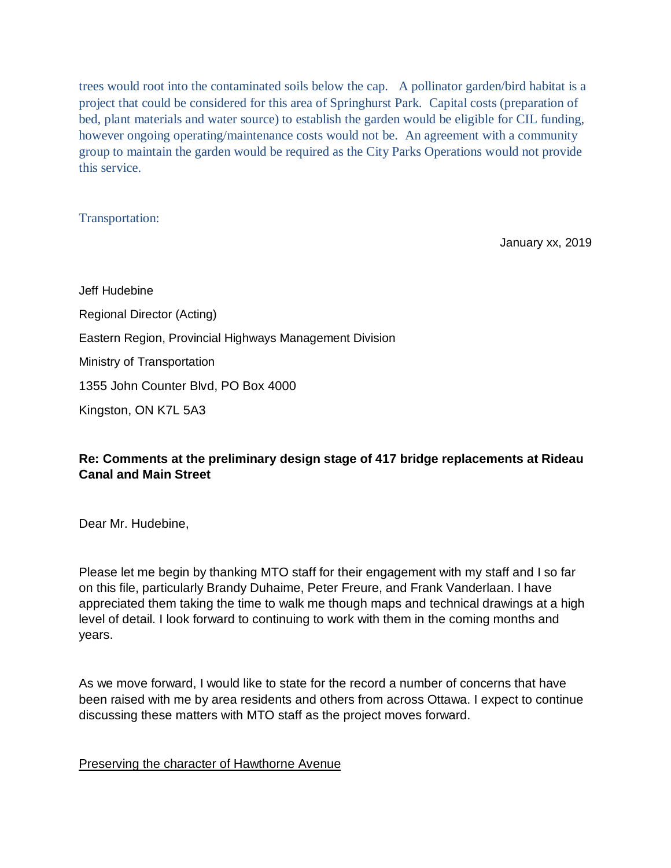trees would root into the contaminated soils below the cap. A pollinator garden/bird habitat is a project that could be considered for this area of Springhurst Park. Capital costs (preparation of bed, plant materials and water source) to establish the garden would be eligible for CIL funding, however ongoing operating/maintenance costs would not be. An agreement with a community group to maintain the garden would be required as the City Parks Operations would not provide this service.

#### Transportation:

January xx, 2019

Jeff Hudebine Regional Director (Acting) Eastern Region, Provincial Highways Management Division Ministry of Transportation 1355 John Counter Blvd, PO Box 4000 Kingston, ON K7L 5A3

## **Re: Comments at the preliminary design stage of 417 bridge replacements at Rideau Canal and Main Street**

Dear Mr. Hudebine,

Please let me begin by thanking MTO staff for their engagement with my staff and I so far on this file, particularly Brandy Duhaime, Peter Freure, and Frank Vanderlaan. I have appreciated them taking the time to walk me though maps and technical drawings at a high level of detail. I look forward to continuing to work with them in the coming months and years.

As we move forward, I would like to state for the record a number of concerns that have been raised with me by area residents and others from across Ottawa. I expect to continue discussing these matters with MTO staff as the project moves forward.

#### Preserving the character of Hawthorne Avenue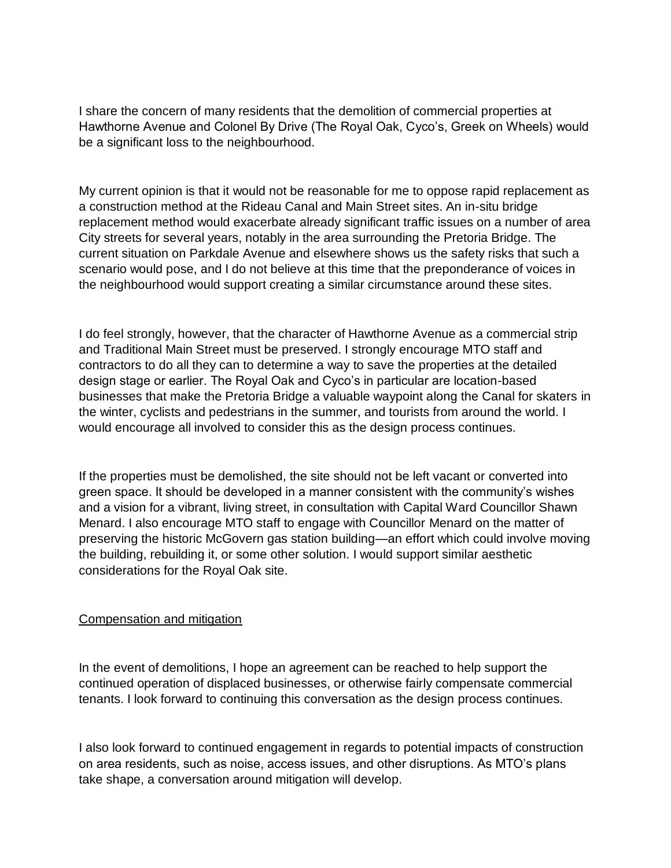I share the concern of many residents that the demolition of commercial properties at Hawthorne Avenue and Colonel By Drive (The Royal Oak, Cyco's, Greek on Wheels) would be a significant loss to the neighbourhood.

My current opinion is that it would not be reasonable for me to oppose rapid replacement as a construction method at the Rideau Canal and Main Street sites. An in-situ bridge replacement method would exacerbate already significant traffic issues on a number of area City streets for several years, notably in the area surrounding the Pretoria Bridge. The current situation on Parkdale Avenue and elsewhere shows us the safety risks that such a scenario would pose, and I do not believe at this time that the preponderance of voices in the neighbourhood would support creating a similar circumstance around these sites.

I do feel strongly, however, that the character of Hawthorne Avenue as a commercial strip and Traditional Main Street must be preserved. I strongly encourage MTO staff and contractors to do all they can to determine a way to save the properties at the detailed design stage or earlier. The Royal Oak and Cyco's in particular are location-based businesses that make the Pretoria Bridge a valuable waypoint along the Canal for skaters in the winter, cyclists and pedestrians in the summer, and tourists from around the world. I would encourage all involved to consider this as the design process continues.

If the properties must be demolished, the site should not be left vacant or converted into green space. It should be developed in a manner consistent with the community's wishes and a vision for a vibrant, living street, in consultation with Capital Ward Councillor Shawn Menard. I also encourage MTO staff to engage with Councillor Menard on the matter of preserving the historic McGovern gas station building—an effort which could involve moving the building, rebuilding it, or some other solution. I would support similar aesthetic considerations for the Royal Oak site.

#### Compensation and mitigation

In the event of demolitions, I hope an agreement can be reached to help support the continued operation of displaced businesses, or otherwise fairly compensate commercial tenants. I look forward to continuing this conversation as the design process continues.

I also look forward to continued engagement in regards to potential impacts of construction on area residents, such as noise, access issues, and other disruptions. As MTO's plans take shape, a conversation around mitigation will develop.